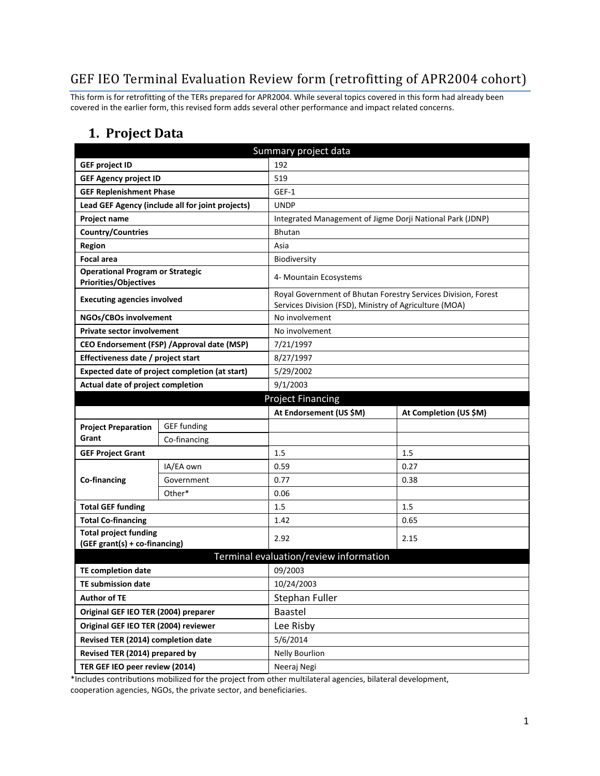# GEF IEO Terminal Evaluation Review form (retrofitting of APR2004 cohort)

This form is for retrofitting of the TERs prepared for APR2004. While several topics covered in this form had already been covered in the earlier form, this revised form adds several other performance and impact related concerns.

### **1. Project Data**

| Summary project data                                                    |                                                  |                                                           |                                                               |  |  |
|-------------------------------------------------------------------------|--------------------------------------------------|-----------------------------------------------------------|---------------------------------------------------------------|--|--|
| <b>GEF project ID</b>                                                   |                                                  | 192                                                       |                                                               |  |  |
| <b>GEF Agency project ID</b>                                            |                                                  | 519                                                       |                                                               |  |  |
| <b>GEF Replenishment Phase</b>                                          |                                                  | GEF-1                                                     |                                                               |  |  |
|                                                                         | Lead GEF Agency (include all for joint projects) | <b>UNDP</b>                                               |                                                               |  |  |
| Project name                                                            |                                                  | Integrated Management of Jigme Dorji National Park (JDNP) |                                                               |  |  |
| <b>Country/Countries</b>                                                |                                                  | <b>Bhutan</b>                                             |                                                               |  |  |
| <b>Region</b>                                                           |                                                  | Asia                                                      |                                                               |  |  |
| <b>Focal area</b>                                                       |                                                  | Biodiversity                                              |                                                               |  |  |
| <b>Operational Program or Strategic</b><br><b>Priorities/Objectives</b> |                                                  | 4- Mountain Ecosystems                                    |                                                               |  |  |
| <b>Executing agencies involved</b>                                      |                                                  | Services Division (FSD), Ministry of Agriculture (MOA)    | Royal Government of Bhutan Forestry Services Division, Forest |  |  |
| NGOs/CBOs involvement                                                   |                                                  | No involvement                                            |                                                               |  |  |
| <b>Private sector involvement</b>                                       |                                                  | No involvement                                            |                                                               |  |  |
|                                                                         | CEO Endorsement (FSP) / Approval date (MSP)      | 7/21/1997                                                 |                                                               |  |  |
| Effectiveness date / project start                                      |                                                  | 8/27/1997                                                 |                                                               |  |  |
|                                                                         | Expected date of project completion (at start)   | 5/29/2002                                                 |                                                               |  |  |
| Actual date of project completion                                       |                                                  | 9/1/2003                                                  |                                                               |  |  |
|                                                                         |                                                  | <b>Project Financing</b>                                  |                                                               |  |  |
|                                                                         |                                                  | At Endorsement (US \$M)                                   | At Completion (US \$M)                                        |  |  |
| <b>Project Preparation</b>                                              | <b>GEF</b> funding                               |                                                           |                                                               |  |  |
| Grant                                                                   | Co-financing                                     |                                                           |                                                               |  |  |
| <b>GEF Project Grant</b>                                                |                                                  | 1.5                                                       | 1.5                                                           |  |  |
|                                                                         | IA/EA own                                        | 0.59                                                      | 0.27                                                          |  |  |
| Co-financing                                                            | Government                                       | 0.77                                                      | 0.38                                                          |  |  |
|                                                                         | Other*                                           | 0.06                                                      |                                                               |  |  |
| <b>Total GEF funding</b>                                                |                                                  | 1.5                                                       | 1.5                                                           |  |  |
| <b>Total Co-financing</b>                                               |                                                  | 1.42                                                      | 0.65                                                          |  |  |
| <b>Total project funding</b><br>(GEF grant(s) + co-financing)           |                                                  | 2.92                                                      | 2.15                                                          |  |  |
|                                                                         |                                                  | Terminal evaluation/review information                    |                                                               |  |  |
| TE completion date                                                      |                                                  | 09/2003                                                   |                                                               |  |  |
| <b>TE submission date</b>                                               |                                                  | 10/24/2003                                                |                                                               |  |  |
| <b>Author of TE</b>                                                     |                                                  | Stephan Fuller                                            |                                                               |  |  |
| Original GEF IEO TER (2004) preparer                                    |                                                  | <b>Baastel</b>                                            |                                                               |  |  |
| Original GEF IEO TER (2004) reviewer                                    |                                                  | Lee Risby                                                 |                                                               |  |  |
| Revised TER (2014) completion date                                      |                                                  | 5/6/2014                                                  |                                                               |  |  |
| Revised TER (2014) prepared by                                          |                                                  | <b>Nelly Bourlion</b>                                     |                                                               |  |  |
| TER GEF IEO peer review (2014)                                          |                                                  | Neeraj Negi                                               |                                                               |  |  |

\*Includes contributions mobilized for the project from other multilateral agencies, bilateral development, cooperation agencies, NGOs, the private sector, and beneficiaries.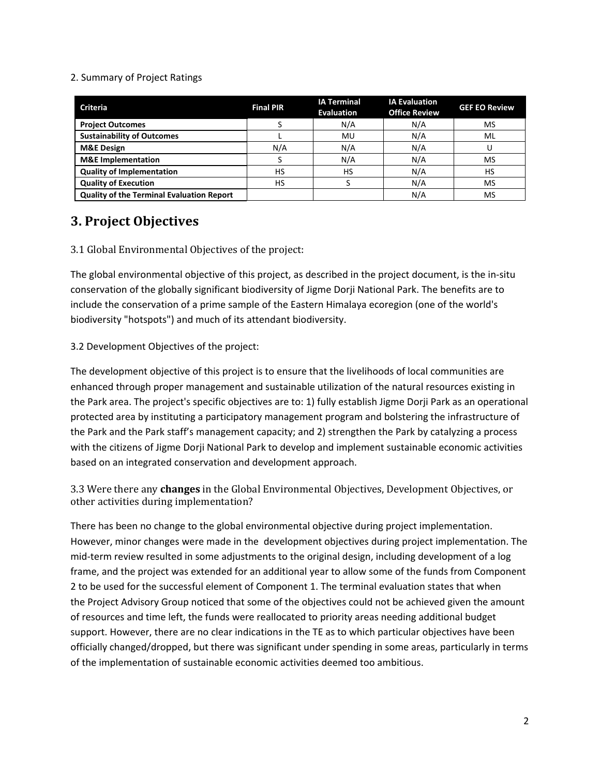#### 2. Summary of Project Ratings

| <b>Criteria</b>                                  | <b>Final PIR</b> | <b>IA Terminal</b><br><b>Evaluation</b> | <b>IA Evaluation</b><br><b>Office Review</b> | <b>GEF EO Review</b> |
|--------------------------------------------------|------------------|-----------------------------------------|----------------------------------------------|----------------------|
| <b>Project Outcomes</b>                          |                  | N/A                                     | N/A                                          | MS                   |
| <b>Sustainability of Outcomes</b>                |                  | <b>MU</b>                               | N/A                                          | ML                   |
| <b>M&amp;E Design</b>                            | N/A              | N/A                                     | N/A                                          |                      |
| <b>M&amp;E</b> Implementation                    |                  | N/A                                     | N/A                                          | MS                   |
| <b>Quality of Implementation</b>                 | HS               | HS                                      | N/A                                          | HS                   |
| <b>Quality of Execution</b>                      | HS               |                                         | N/A                                          | MS                   |
| <b>Quality of the Terminal Evaluation Report</b> |                  |                                         | N/A                                          | MS                   |

## **3. Project Objectives**

### 3.1 Global Environmental Objectives of the project:

The global environmental objective of this project, as described in the project document, is the in-situ conservation of the globally significant biodiversity of Jigme Dorji National Park. The benefits are to include the conservation of a prime sample of the Eastern Himalaya ecoregion (one of the world's biodiversity "hotspots") and much of its attendant biodiversity.

### 3.2 Development Objectives of the project:

The development objective of this project is to ensure that the livelihoods of local communities are enhanced through proper management and sustainable utilization of the natural resources existing in the Park area. The project's specific objectives are to: 1) fully establish Jigme Dorji Park as an operational protected area by instituting a participatory management program and bolstering the infrastructure of the Park and the Park staff's management capacity; and 2) strengthen the Park by catalyzing a process with the citizens of Jigme Dorji National Park to develop and implement sustainable economic activities based on an integrated conservation and development approach.

3.3 Were there any **changes** in the Global Environmental Objectives, Development Objectives, or other activities during implementation?

There has been no change to the global environmental objective during project implementation. However, minor changes were made in the development objectives during project implementation. The mid-term review resulted in some adjustments to the original design, including development of a log frame, and the project was extended for an additional year to allow some of the funds from Component 2 to be used for the successful element of Component 1. The terminal evaluation states that when the Project Advisory Group noticed that some of the objectives could not be achieved given the amount of resources and time left, the funds were reallocated to priority areas needing additional budget support. However, there are no clear indications in the TE as to which particular objectives have been officially changed/dropped, but there was significant under spending in some areas, particularly in terms of the implementation of sustainable economic activities deemed too ambitious.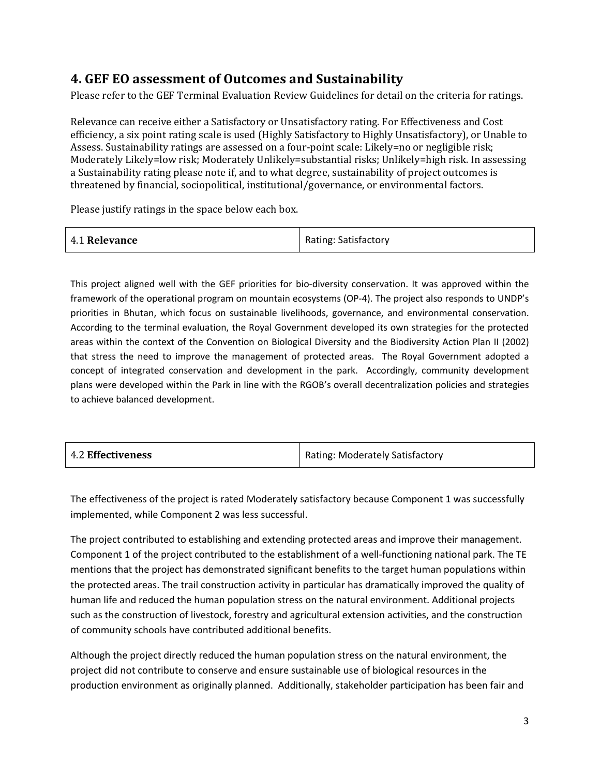## **4. GEF EO assessment of Outcomes and Sustainability**

Please refer to the GEF Terminal Evaluation Review Guidelines for detail on the criteria for ratings.

Relevance can receive either a Satisfactory or Unsatisfactory rating. For Effectiveness and Cost efficiency, a six point rating scale is used (Highly Satisfactory to Highly Unsatisfactory), or Unable to Assess. Sustainability ratings are assessed on a four-point scale: Likely=no or negligible risk; Moderately Likely=low risk; Moderately Unlikely=substantial risks; Unlikely=high risk. In assessing a Sustainability rating please note if, and to what degree, sustainability of project outcomes is threatened by financial, sociopolitical, institutional/governance, or environmental factors.

Please justify ratings in the space below each box.

| 4.1 Relevance | <b>Rating: Satisfactory</b> |
|---------------|-----------------------------|
|---------------|-----------------------------|

This project aligned well with the GEF priorities for bio-diversity conservation. It was approved within the framework of the operational program on mountain ecosystems (OP-4). The project also responds to UNDP's priorities in Bhutan, which focus on sustainable livelihoods, governance, and environmental conservation. According to the terminal evaluation, the Royal Government developed its own strategies for the protected areas within the context of the Convention on Biological Diversity and the Biodiversity Action Plan II (2002) that stress the need to improve the management of protected areas. The Royal Government adopted a concept of integrated conservation and development in the park. Accordingly, community development plans were developed within the Park in line with the RGOB's overall decentralization policies and strategies to achieve balanced development.

| <b>4.2 Effectiveness</b> | Rating: Moderately Satisfactory |
|--------------------------|---------------------------------|
|                          |                                 |

The effectiveness of the project is rated Moderately satisfactory because Component 1 was successfully implemented, while Component 2 was less successful.

The project contributed to establishing and extending protected areas and improve their management. Component 1 of the project contributed to the establishment of a well-functioning national park. The TE mentions that the project has demonstrated significant benefits to the target human populations within the protected areas. The trail construction activity in particular has dramatically improved the quality of human life and reduced the human population stress on the natural environment. Additional projects such as the construction of livestock, forestry and agricultural extension activities, and the construction of community schools have contributed additional benefits.

Although the project directly reduced the human population stress on the natural environment, the project did not contribute to conserve and ensure sustainable use of biological resources in the production environment as originally planned. Additionally, stakeholder participation has been fair and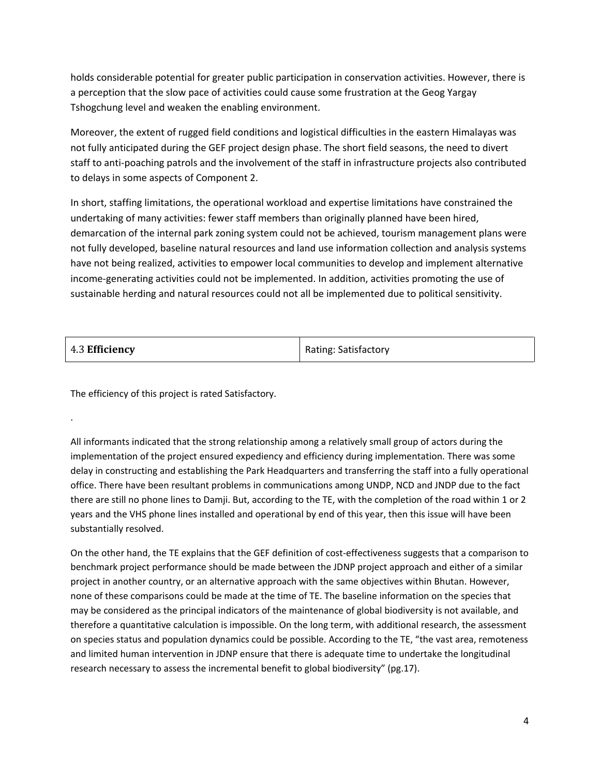holds considerable potential for greater public participation in conservation activities. However, there is a perception that the slow pace of activities could cause some frustration at the Geog Yargay Tshogchung level and weaken the enabling environment.

Moreover, the extent of rugged field conditions and logistical difficulties in the eastern Himalayas was not fully anticipated during the GEF project design phase. The short field seasons, the need to divert staff to anti-poaching patrols and the involvement of the staff in infrastructure projects also contributed to delays in some aspects of Component 2.

In short, staffing limitations, the operational workload and expertise limitations have constrained the undertaking of many activities: fewer staff members than originally planned have been hired, demarcation of the internal park zoning system could not be achieved, tourism management plans were not fully developed, baseline natural resources and land use information collection and analysis systems have not being realized, activities to empower local communities to develop and implement alternative income-generating activities could not be implemented. In addition, activities promoting the use of sustainable herding and natural resources could not all be implemented due to political sensitivity.

| 4.3 Efficiency | <b>Rating: Satisfactory</b> |
|----------------|-----------------------------|
|----------------|-----------------------------|

The efficiency of this project is rated Satisfactory.

.

All informants indicated that the strong relationship among a relatively small group of actors during the implementation of the project ensured expediency and efficiency during implementation. There was some delay in constructing and establishing the Park Headquarters and transferring the staff into a fully operational office. There have been resultant problems in communications among UNDP, NCD and JNDP due to the fact there are still no phone lines to Damji. But, according to the TE, with the completion of the road within 1 or 2 years and the VHS phone lines installed and operational by end of this year, then this issue will have been substantially resolved.

On the other hand, the TE explains that the GEF definition of cost-effectiveness suggests that a comparison to benchmark project performance should be made between the JDNP project approach and either of a similar project in another country, or an alternative approach with the same objectives within Bhutan. However, none of these comparisons could be made at the time of TE. The baseline information on the species that may be considered as the principal indicators of the maintenance of global biodiversity is not available, and therefore a quantitative calculation is impossible. On the long term, with additional research, the assessment on species status and population dynamics could be possible. According to the TE, "the vast area, remoteness and limited human intervention in JDNP ensure that there is adequate time to undertake the longitudinal research necessary to assess the incremental benefit to global biodiversity" (pg.17).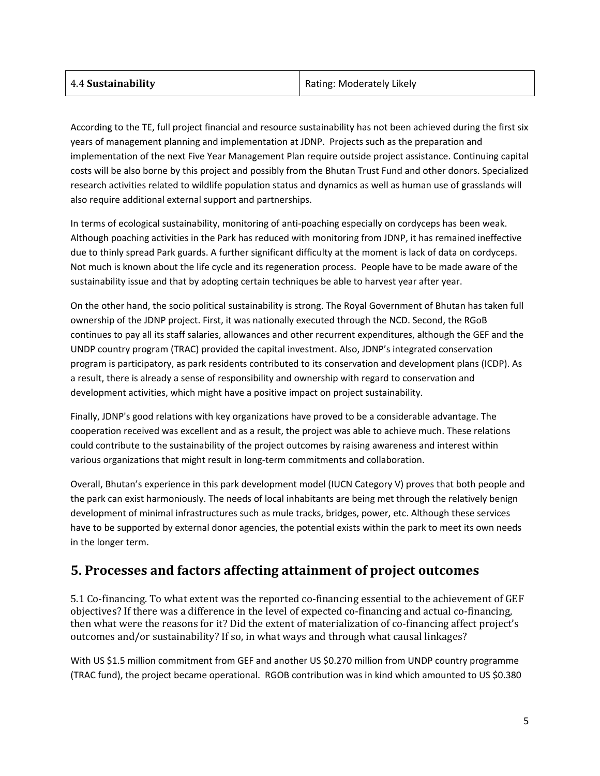| Rating: Moderately Likely |
|---------------------------|
|                           |

According to the TE, full project financial and resource sustainability has not been achieved during the first six years of management planning and implementation at JDNP. Projects such as the preparation and implementation of the next Five Year Management Plan require outside project assistance. Continuing capital costs will be also borne by this project and possibly from the Bhutan Trust Fund and other donors. Specialized research activities related to wildlife population status and dynamics as well as human use of grasslands will also require additional external support and partnerships.

In terms of ecological sustainability, monitoring of anti-poaching especially on cordyceps has been weak. Although poaching activities in the Park has reduced with monitoring from JDNP, it has remained ineffective due to thinly spread Park guards. A further significant difficulty at the moment is lack of data on cordyceps. Not much is known about the life cycle and its regeneration process. People have to be made aware of the sustainability issue and that by adopting certain techniques be able to harvest year after year.

On the other hand, the socio political sustainability is strong. The Royal Government of Bhutan has taken full ownership of the JDNP project. First, it was nationally executed through the NCD. Second, the RGoB continues to pay all its staff salaries, allowances and other recurrent expenditures, although the GEF and the UNDP country program (TRAC) provided the capital investment. Also, JDNP's integrated conservation program is participatory, as park residents contributed to its conservation and development plans (ICDP). As a result, there is already a sense of responsibility and ownership with regard to conservation and development activities, which might have a positive impact on project sustainability.

Finally, JDNP's good relations with key organizations have proved to be a considerable advantage. The cooperation received was excellent and as a result, the project was able to achieve much. These relations could contribute to the sustainability of the project outcomes by raising awareness and interest within various organizations that might result in long-term commitments and collaboration.

Overall, Bhutan's experience in this park development model (IUCN Category V) proves that both people and the park can exist harmoniously. The needs of local inhabitants are being met through the relatively benign development of minimal infrastructures such as mule tracks, bridges, power, etc. Although these services have to be supported by external donor agencies, the potential exists within the park to meet its own needs in the longer term.

## **5. Processes and factors affecting attainment of project outcomes**

5.1 Co-financing. To what extent was the reported co-financing essential to the achievement of GEF objectives? If there was a difference in the level of expected co-financing and actual co-financing, then what were the reasons for it? Did the extent of materialization of co-financing affect project's outcomes and/or sustainability? If so, in what ways and through what causal linkages?

With US \$1.5 million commitment from GEF and another US \$0.270 million from UNDP country programme (TRAC fund), the project became operational. RGOB contribution was in kind which amounted to US \$0.380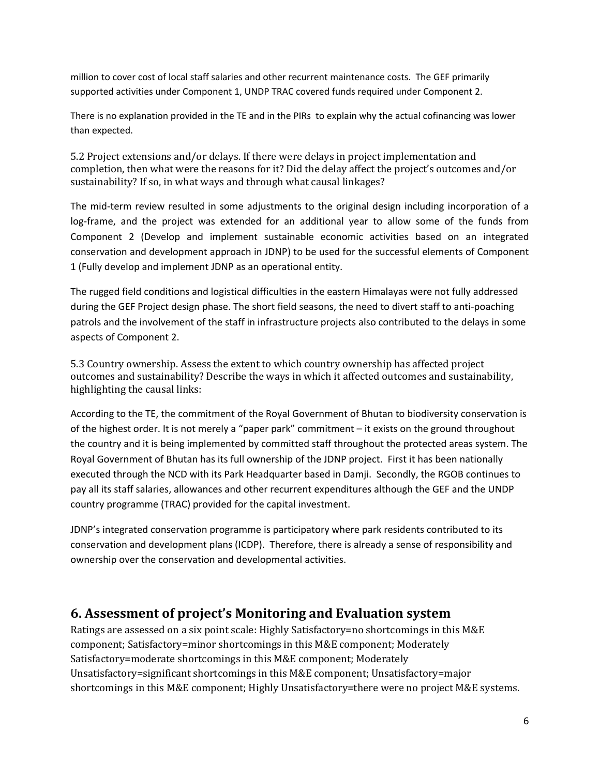million to cover cost of local staff salaries and other recurrent maintenance costs. The GEF primarily supported activities under Component 1, UNDP TRAC covered funds required under Component 2.

There is no explanation provided in the TE and in the PIRs to explain why the actual cofinancing was lower than expected.

5.2 Project extensions and/or delays. If there were delays in project implementation and completion, then what were the reasons for it? Did the delay affect the project's outcomes and/or sustainability? If so, in what ways and through what causal linkages?

The mid-term review resulted in some adjustments to the original design including incorporation of a log-frame, and the project was extended for an additional year to allow some of the funds from Component 2 (Develop and implement sustainable economic activities based on an integrated conservation and development approach in JDNP) to be used for the successful elements of Component 1 (Fully develop and implement JDNP as an operational entity.

The rugged field conditions and logistical difficulties in the eastern Himalayas were not fully addressed during the GEF Project design phase. The short field seasons, the need to divert staff to anti-poaching patrols and the involvement of the staff in infrastructure projects also contributed to the delays in some aspects of Component 2.

5.3 Country ownership. Assess the extent to which country ownership has affected project outcomes and sustainability? Describe the ways in which it affected outcomes and sustainability, highlighting the causal links:

According to the TE, the commitment of the Royal Government of Bhutan to biodiversity conservation is of the highest order. It is not merely a "paper park" commitment – it exists on the ground throughout the country and it is being implemented by committed staff throughout the protected areas system. The Royal Government of Bhutan has its full ownership of the JDNP project. First it has been nationally executed through the NCD with its Park Headquarter based in Damji. Secondly, the RGOB continues to pay all its staff salaries, allowances and other recurrent expenditures although the GEF and the UNDP country programme (TRAC) provided for the capital investment.

JDNP's integrated conservation programme is participatory where park residents contributed to its conservation and development plans (ICDP). Therefore, there is already a sense of responsibility and ownership over the conservation and developmental activities.

### **6. Assessment of project's Monitoring and Evaluation system**

Ratings are assessed on a six point scale: Highly Satisfactory=no shortcomings in this M&E component; Satisfactory=minor shortcomings in this M&E component; Moderately Satisfactory=moderate shortcomings in this M&E component; Moderately Unsatisfactory=significant shortcomings in this M&E component; Unsatisfactory=major shortcomings in this M&E component; Highly Unsatisfactory=there were no project M&E systems.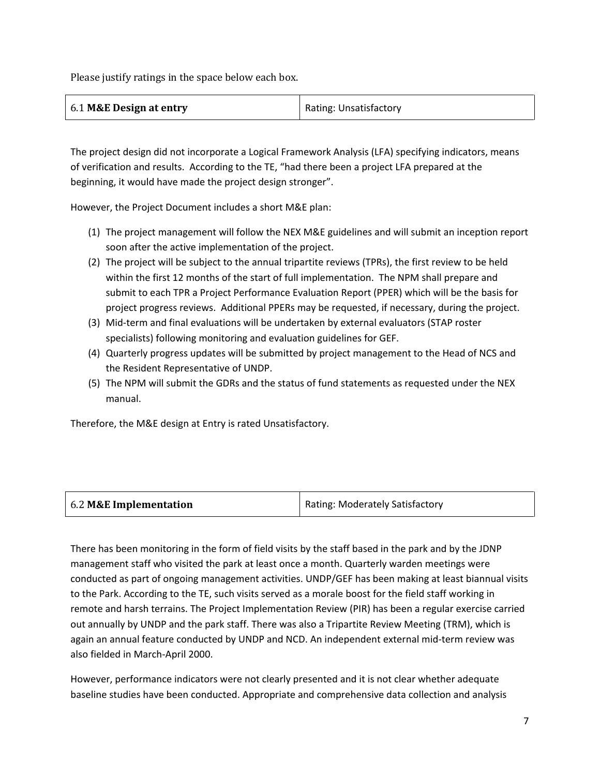Please justify ratings in the space below each box.

| 6.1 M&E Design at entry | Rating: Unsatisfactory |
|-------------------------|------------------------|
|-------------------------|------------------------|

The project design did not incorporate a Logical Framework Analysis (LFA) specifying indicators, means of verification and results. According to the TE, "had there been a project LFA prepared at the beginning, it would have made the project design stronger".

However, the Project Document includes a short M&E plan:

- (1) The project management will follow the NEX M&E guidelines and will submit an inception report soon after the active implementation of the project.
- (2) The project will be subject to the annual tripartite reviews (TPRs), the first review to be held within the first 12 months of the start of full implementation. The NPM shall prepare and submit to each TPR a Project Performance Evaluation Report (PPER) which will be the basis for project progress reviews. Additional PPERs may be requested, if necessary, during the project.
- (3) Mid-term and final evaluations will be undertaken by external evaluators (STAP roster specialists) following monitoring and evaluation guidelines for GEF.
- (4) Quarterly progress updates will be submitted by project management to the Head of NCS and the Resident Representative of UNDP.
- (5) The NPM will submit the GDRs and the status of fund statements as requested under the NEX manual.

Therefore, the M&E design at Entry is rated Unsatisfactory.

| 6.2 M&E Implementation | Rating: Moderately Satisfactory |
|------------------------|---------------------------------|
|                        |                                 |

There has been monitoring in the form of field visits by the staff based in the park and by the JDNP management staff who visited the park at least once a month. Quarterly warden meetings were conducted as part of ongoing management activities. UNDP/GEF has been making at least biannual visits to the Park. According to the TE, such visits served as a morale boost for the field staff working in remote and harsh terrains. The Project Implementation Review (PIR) has been a regular exercise carried out annually by UNDP and the park staff. There was also a Tripartite Review Meeting (TRM), which is again an annual feature conducted by UNDP and NCD. An independent external mid-term review was also fielded in March-April 2000.

However, performance indicators were not clearly presented and it is not clear whether adequate baseline studies have been conducted. Appropriate and comprehensive data collection and analysis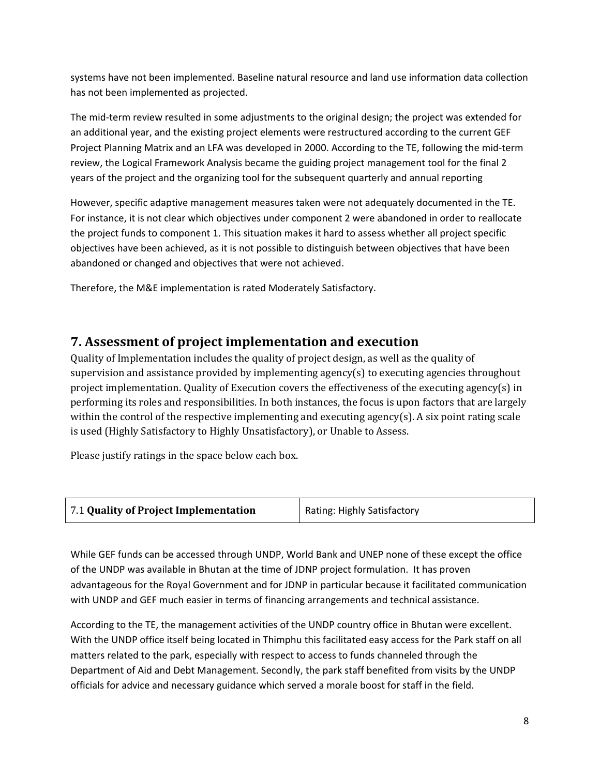systems have not been implemented. Baseline natural resource and land use information data collection has not been implemented as projected.

The mid-term review resulted in some adjustments to the original design; the project was extended for an additional year, and the existing project elements were restructured according to the current GEF Project Planning Matrix and an LFA was developed in 2000. According to the TE, following the mid-term review, the Logical Framework Analysis became the guiding project management tool for the final 2 years of the project and the organizing tool for the subsequent quarterly and annual reporting

However, specific adaptive management measures taken were not adequately documented in the TE. For instance, it is not clear which objectives under component 2 were abandoned in order to reallocate the project funds to component 1. This situation makes it hard to assess whether all project specific objectives have been achieved, as it is not possible to distinguish between objectives that have been abandoned or changed and objectives that were not achieved.

Therefore, the M&E implementation is rated Moderately Satisfactory.

## **7. Assessment of project implementation and execution**

Quality of Implementation includes the quality of project design, as well as the quality of supervision and assistance provided by implementing agency(s) to executing agencies throughout project implementation. Quality of Execution covers the effectiveness of the executing agency(s) in performing its roles and responsibilities. In both instances, the focus is upon factors that are largely within the control of the respective implementing and executing agency(s). A six point rating scale is used (Highly Satisfactory to Highly Unsatisfactory), or Unable to Assess.

Please justify ratings in the space below each box.

| 7.1 Quality of Project Implementation | Rating: Highly Satisfactory |
|---------------------------------------|-----------------------------|
|                                       |                             |

While GEF funds can be accessed through UNDP, World Bank and UNEP none of these except the office of the UNDP was available in Bhutan at the time of JDNP project formulation. It has proven advantageous for the Royal Government and for JDNP in particular because it facilitated communication with UNDP and GEF much easier in terms of financing arrangements and technical assistance.

According to the TE, the management activities of the UNDP country office in Bhutan were excellent. With the UNDP office itself being located in Thimphu this facilitated easy access for the Park staff on all matters related to the park, especially with respect to access to funds channeled through the Department of Aid and Debt Management. Secondly, the park staff benefited from visits by the UNDP officials for advice and necessary guidance which served a morale boost for staff in the field.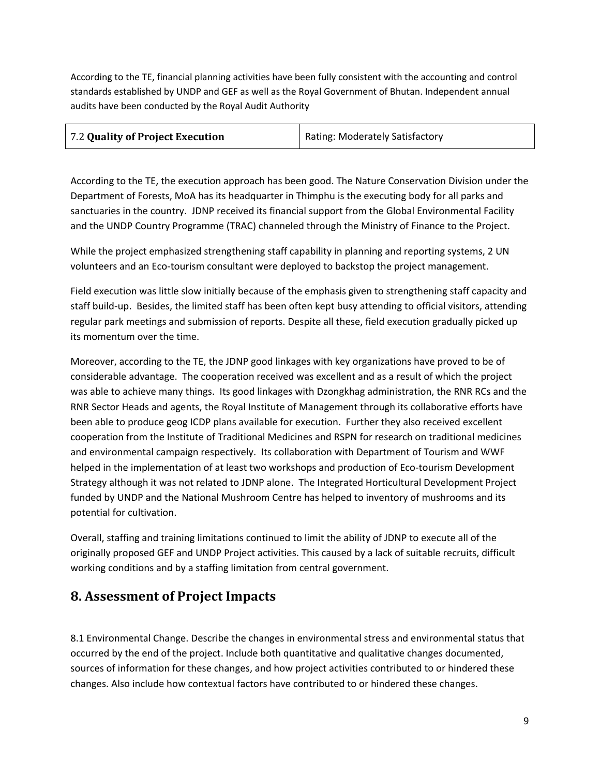According to the TE, financial planning activities have been fully consistent with the accounting and control standards established by UNDP and GEF as well as the Royal Government of Bhutan. Independent annual audits have been conducted by the Royal Audit Authority

| 7.2 Quality of Project Execution | Rating: Moderately Satisfactory |
|----------------------------------|---------------------------------|
|                                  |                                 |

According to the TE, the execution approach has been good. The Nature Conservation Division under the Department of Forests, MoA has its headquarter in Thimphu is the executing body for all parks and sanctuaries in the country. JDNP received its financial support from the Global Environmental Facility and the UNDP Country Programme (TRAC) channeled through the Ministry of Finance to the Project.

While the project emphasized strengthening staff capability in planning and reporting systems, 2 UN volunteers and an Eco-tourism consultant were deployed to backstop the project management.

Field execution was little slow initially because of the emphasis given to strengthening staff capacity and staff build-up. Besides, the limited staff has been often kept busy attending to official visitors, attending regular park meetings and submission of reports. Despite all these, field execution gradually picked up its momentum over the time.

Moreover, according to the TE, the JDNP good linkages with key organizations have proved to be of considerable advantage. The cooperation received was excellent and as a result of which the project was able to achieve many things. Its good linkages with Dzongkhag administration, the RNR RCs and the RNR Sector Heads and agents, the Royal Institute of Management through its collaborative efforts have been able to produce geog ICDP plans available for execution. Further they also received excellent cooperation from the Institute of Traditional Medicines and RSPN for research on traditional medicines and environmental campaign respectively. Its collaboration with Department of Tourism and WWF helped in the implementation of at least two workshops and production of Eco-tourism Development Strategy although it was not related to JDNP alone. The Integrated Horticultural Development Project funded by UNDP and the National Mushroom Centre has helped to inventory of mushrooms and its potential for cultivation.

Overall, staffing and training limitations continued to limit the ability of JDNP to execute all of the originally proposed GEF and UNDP Project activities. This caused by a lack of suitable recruits, difficult working conditions and by a staffing limitation from central government.

## **8. Assessment of Project Impacts**

8.1 Environmental Change. Describe the changes in environmental stress and environmental status that occurred by the end of the project. Include both quantitative and qualitative changes documented, sources of information for these changes, and how project activities contributed to or hindered these changes. Also include how contextual factors have contributed to or hindered these changes.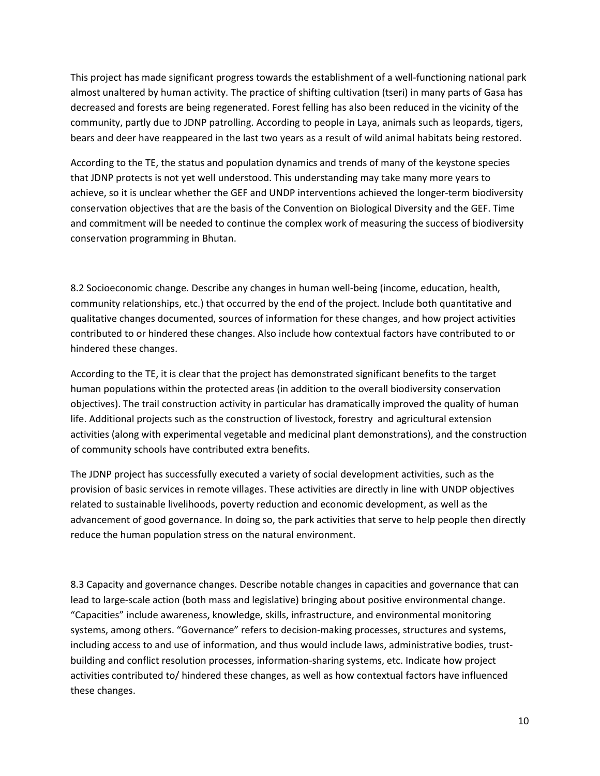This project has made significant progress towards the establishment of a well-functioning national park almost unaltered by human activity. The practice of shifting cultivation (tseri) in many parts of Gasa has decreased and forests are being regenerated. Forest felling has also been reduced in the vicinity of the community, partly due to JDNP patrolling. According to people in Laya, animals such as leopards, tigers, bears and deer have reappeared in the last two years as a result of wild animal habitats being restored.

According to the TE, the status and population dynamics and trends of many of the keystone species that JDNP protects is not yet well understood. This understanding may take many more years to achieve, so it is unclear whether the GEF and UNDP interventions achieved the longer-term biodiversity conservation objectives that are the basis of the Convention on Biological Diversity and the GEF. Time and commitment will be needed to continue the complex work of measuring the success of biodiversity conservation programming in Bhutan.

8.2 Socioeconomic change. Describe any changes in human well-being (income, education, health, community relationships, etc.) that occurred by the end of the project. Include both quantitative and qualitative changes documented, sources of information for these changes, and how project activities contributed to or hindered these changes. Also include how contextual factors have contributed to or hindered these changes.

According to the TE, it is clear that the project has demonstrated significant benefits to the target human populations within the protected areas (in addition to the overall biodiversity conservation objectives). The trail construction activity in particular has dramatically improved the quality of human life. Additional projects such as the construction of livestock, forestry and agricultural extension activities (along with experimental vegetable and medicinal plant demonstrations), and the construction of community schools have contributed extra benefits.

The JDNP project has successfully executed a variety of social development activities, such as the provision of basic services in remote villages. These activities are directly in line with UNDP objectives related to sustainable livelihoods, poverty reduction and economic development, as well as the advancement of good governance. In doing so, the park activities that serve to help people then directly reduce the human population stress on the natural environment.

8.3 Capacity and governance changes. Describe notable changes in capacities and governance that can lead to large-scale action (both mass and legislative) bringing about positive environmental change. "Capacities" include awareness, knowledge, skills, infrastructure, and environmental monitoring systems, among others. "Governance" refers to decision-making processes, structures and systems, including access to and use of information, and thus would include laws, administrative bodies, trustbuilding and conflict resolution processes, information-sharing systems, etc. Indicate how project activities contributed to/ hindered these changes, as well as how contextual factors have influenced these changes.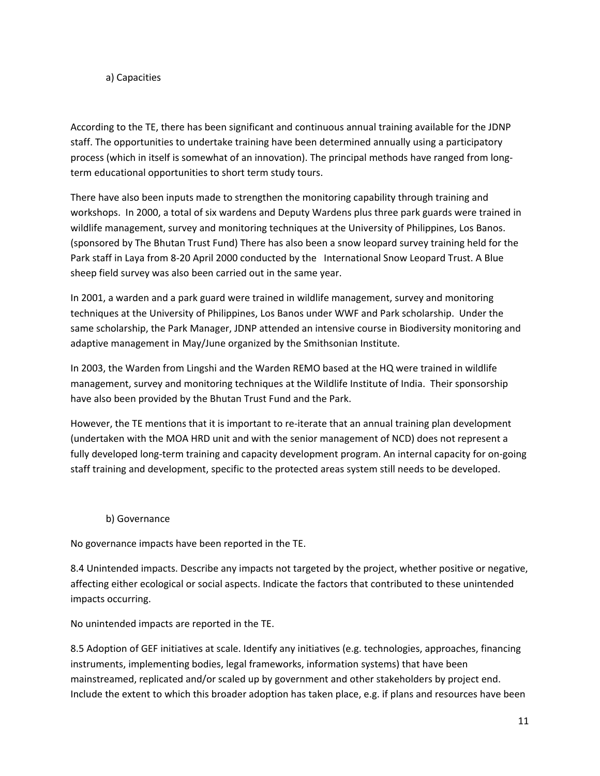#### a) Capacities

According to the TE, there has been significant and continuous annual training available for the JDNP staff. The opportunities to undertake training have been determined annually using a participatory process (which in itself is somewhat of an innovation). The principal methods have ranged from longterm educational opportunities to short term study tours.

There have also been inputs made to strengthen the monitoring capability through training and workshops. In 2000, a total of six wardens and Deputy Wardens plus three park guards were trained in wildlife management, survey and monitoring techniques at the University of Philippines, Los Banos. (sponsored by The Bhutan Trust Fund) There has also been a snow leopard survey training held for the Park staff in Laya from 8-20 April 2000 conducted by the International Snow Leopard Trust. A Blue sheep field survey was also been carried out in the same year.

In 2001, a warden and a park guard were trained in wildlife management, survey and monitoring techniques at the University of Philippines, Los Banos under WWF and Park scholarship. Under the same scholarship, the Park Manager, JDNP attended an intensive course in Biodiversity monitoring and adaptive management in May/June organized by the Smithsonian Institute.

In 2003, the Warden from Lingshi and the Warden REMO based at the HQ were trained in wildlife management, survey and monitoring techniques at the Wildlife Institute of India. Their sponsorship have also been provided by the Bhutan Trust Fund and the Park.

However, the TE mentions that it is important to re-iterate that an annual training plan development (undertaken with the MOA HRD unit and with the senior management of NCD) does not represent a fully developed long-term training and capacity development program. An internal capacity for on-going staff training and development, specific to the protected areas system still needs to be developed.

### b) Governance

No governance impacts have been reported in the TE.

8.4 Unintended impacts. Describe any impacts not targeted by the project, whether positive or negative, affecting either ecological or social aspects. Indicate the factors that contributed to these unintended impacts occurring.

No unintended impacts are reported in the TE.

8.5 Adoption of GEF initiatives at scale. Identify any initiatives (e.g. technologies, approaches, financing instruments, implementing bodies, legal frameworks, information systems) that have been mainstreamed, replicated and/or scaled up by government and other stakeholders by project end. Include the extent to which this broader adoption has taken place, e.g. if plans and resources have been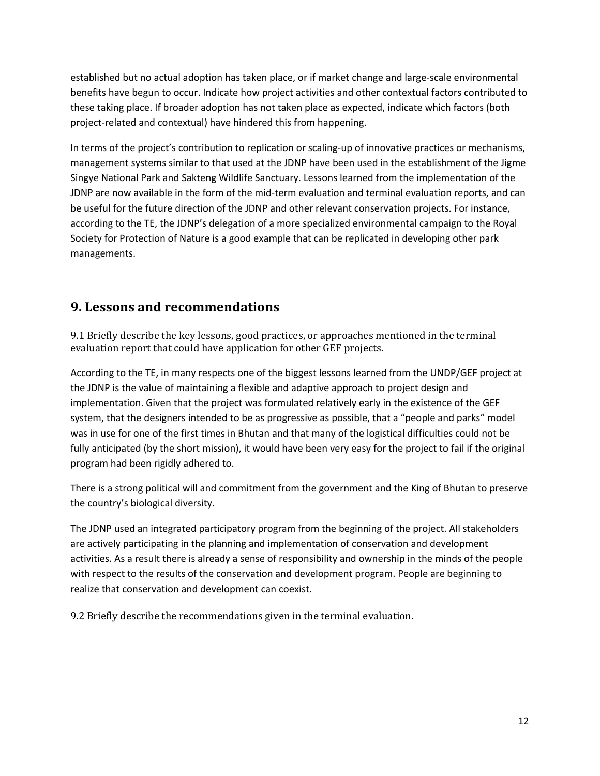established but no actual adoption has taken place, or if market change and large-scale environmental benefits have begun to occur. Indicate how project activities and other contextual factors contributed to these taking place. If broader adoption has not taken place as expected, indicate which factors (both project-related and contextual) have hindered this from happening.

In terms of the project's contribution to replication or scaling-up of innovative practices or mechanisms, management systems similar to that used at the JDNP have been used in the establishment of the Jigme Singye National Park and Sakteng Wildlife Sanctuary. Lessons learned from the implementation of the JDNP are now available in the form of the mid-term evaluation and terminal evaluation reports, and can be useful for the future direction of the JDNP and other relevant conservation projects. For instance, according to the TE, the JDNP's delegation of a more specialized environmental campaign to the Royal Society for Protection of Nature is a good example that can be replicated in developing other park managements.

### **9. Lessons and recommendations**

9.1 Briefly describe the key lessons, good practices, or approaches mentioned in the terminal evaluation report that could have application for other GEF projects.

According to the TE, in many respects one of the biggest lessons learned from the UNDP/GEF project at the JDNP is the value of maintaining a flexible and adaptive approach to project design and implementation. Given that the project was formulated relatively early in the existence of the GEF system, that the designers intended to be as progressive as possible, that a "people and parks" model was in use for one of the first times in Bhutan and that many of the logistical difficulties could not be fully anticipated (by the short mission), it would have been very easy for the project to fail if the original program had been rigidly adhered to.

There is a strong political will and commitment from the government and the King of Bhutan to preserve the country's biological diversity.

The JDNP used an integrated participatory program from the beginning of the project. All stakeholders are actively participating in the planning and implementation of conservation and development activities. As a result there is already a sense of responsibility and ownership in the minds of the people with respect to the results of the conservation and development program. People are beginning to realize that conservation and development can coexist.

9.2 Briefly describe the recommendations given in the terminal evaluation.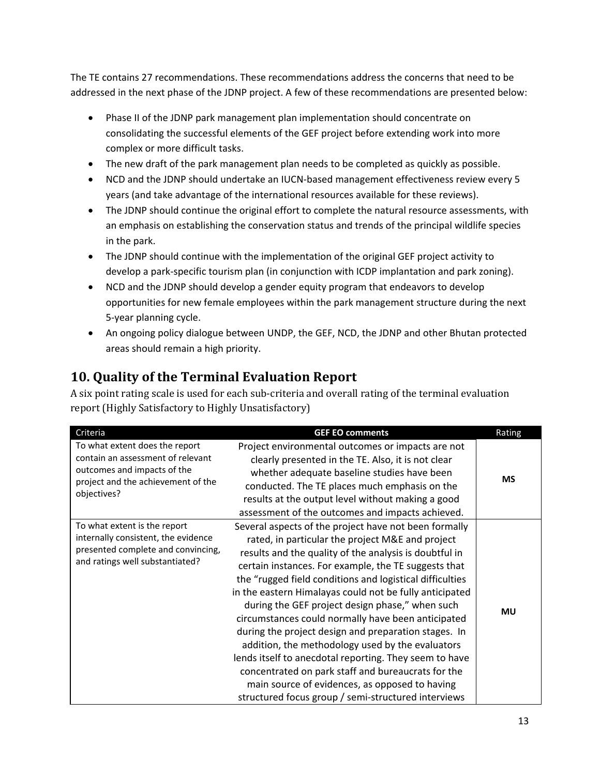The TE contains 27 recommendations. These recommendations address the concerns that need to be addressed in the next phase of the JDNP project. A few of these recommendations are presented below:

- Phase II of the JDNP park management plan implementation should concentrate on consolidating the successful elements of the GEF project before extending work into more complex or more difficult tasks.
- The new draft of the park management plan needs to be completed as quickly as possible.
- NCD and the JDNP should undertake an IUCN-based management effectiveness review every 5 years (and take advantage of the international resources available for these reviews).
- The JDNP should continue the original effort to complete the natural resource assessments, with an emphasis on establishing the conservation status and trends of the principal wildlife species in the park.
- The JDNP should continue with the implementation of the original GEF project activity to develop a park-specific tourism plan (in conjunction with ICDP implantation and park zoning).
- NCD and the JDNP should develop a gender equity program that endeavors to develop opportunities for new female employees within the park management structure during the next 5-year planning cycle.
- An ongoing policy dialogue between UNDP, the GEF, NCD, the JDNP and other Bhutan protected areas should remain a high priority.

# **10. Quality of the Terminal Evaluation Report**

A six point rating scale is used for each sub-criteria and overall rating of the terminal evaluation report (Highly Satisfactory to Highly Unsatisfactory)

| Criteria                                                                                                                                                | <b>GEF EO comments</b>                                                                                                                                                                                                                                                                                                                                                                                                                                                                                                                                                                                                                                                                                                                                                                           | Rating    |
|---------------------------------------------------------------------------------------------------------------------------------------------------------|--------------------------------------------------------------------------------------------------------------------------------------------------------------------------------------------------------------------------------------------------------------------------------------------------------------------------------------------------------------------------------------------------------------------------------------------------------------------------------------------------------------------------------------------------------------------------------------------------------------------------------------------------------------------------------------------------------------------------------------------------------------------------------------------------|-----------|
| To what extent does the report<br>contain an assessment of relevant<br>outcomes and impacts of the<br>project and the achievement of the<br>objectives? | Project environmental outcomes or impacts are not<br>clearly presented in the TE. Also, it is not clear<br>whether adequate baseline studies have been<br>conducted. The TE places much emphasis on the<br>results at the output level without making a good<br>assessment of the outcomes and impacts achieved.                                                                                                                                                                                                                                                                                                                                                                                                                                                                                 | <b>MS</b> |
| To what extent is the report<br>internally consistent, the evidence<br>presented complete and convincing,<br>and ratings well substantiated?            | Several aspects of the project have not been formally<br>rated, in particular the project M&E and project<br>results and the quality of the analysis is doubtful in<br>certain instances. For example, the TE suggests that<br>the "rugged field conditions and logistical difficulties<br>in the eastern Himalayas could not be fully anticipated<br>during the GEF project design phase," when such<br>circumstances could normally have been anticipated<br>during the project design and preparation stages. In<br>addition, the methodology used by the evaluators<br>lends itself to anecdotal reporting. They seem to have<br>concentrated on park staff and bureaucrats for the<br>main source of evidences, as opposed to having<br>structured focus group / semi-structured interviews | MU        |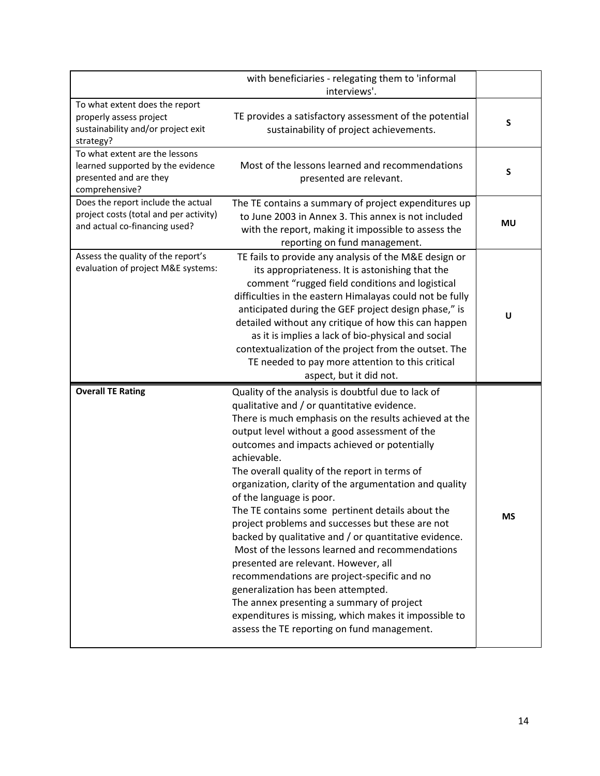|                                                                                                                 | with beneficiaries - relegating them to 'informal<br>interviews'.                                                                                                                                                                                                                                                                                                                                                                                                                                                                                                                                                                                                                                                                                                                                                                                                                                                       |           |
|-----------------------------------------------------------------------------------------------------------------|-------------------------------------------------------------------------------------------------------------------------------------------------------------------------------------------------------------------------------------------------------------------------------------------------------------------------------------------------------------------------------------------------------------------------------------------------------------------------------------------------------------------------------------------------------------------------------------------------------------------------------------------------------------------------------------------------------------------------------------------------------------------------------------------------------------------------------------------------------------------------------------------------------------------------|-----------|
| To what extent does the report<br>properly assess project<br>sustainability and/or project exit<br>strategy?    | TE provides a satisfactory assessment of the potential<br>sustainability of project achievements.                                                                                                                                                                                                                                                                                                                                                                                                                                                                                                                                                                                                                                                                                                                                                                                                                       | S         |
| To what extent are the lessons<br>learned supported by the evidence<br>presented and are they<br>comprehensive? | Most of the lessons learned and recommendations<br>presented are relevant.                                                                                                                                                                                                                                                                                                                                                                                                                                                                                                                                                                                                                                                                                                                                                                                                                                              | S         |
| Does the report include the actual<br>project costs (total and per activity)<br>and actual co-financing used?   | The TE contains a summary of project expenditures up<br>to June 2003 in Annex 3. This annex is not included<br>with the report, making it impossible to assess the<br>reporting on fund management.                                                                                                                                                                                                                                                                                                                                                                                                                                                                                                                                                                                                                                                                                                                     | <b>MU</b> |
| Assess the quality of the report's<br>evaluation of project M&E systems:                                        | TE fails to provide any analysis of the M&E design or<br>its appropriateness. It is astonishing that the<br>comment "rugged field conditions and logistical<br>difficulties in the eastern Himalayas could not be fully<br>anticipated during the GEF project design phase," is<br>detailed without any critique of how this can happen<br>as it is implies a lack of bio-physical and social<br>contextualization of the project from the outset. The<br>TE needed to pay more attention to this critical<br>aspect, but it did not.                                                                                                                                                                                                                                                                                                                                                                                   | U         |
| <b>Overall TE Rating</b>                                                                                        | Quality of the analysis is doubtful due to lack of<br>qualitative and / or quantitative evidence.<br>There is much emphasis on the results achieved at the<br>output level without a good assessment of the<br>outcomes and impacts achieved or potentially<br>achievable.<br>The overall quality of the report in terms of<br>organization, clarity of the argumentation and quality<br>of the language is poor.<br>The TE contains some pertinent details about the<br>project problems and successes but these are not<br>backed by qualitative and / or quantitative evidence.<br>Most of the lessons learned and recommendations<br>presented are relevant. However, all<br>recommendations are project-specific and no<br>generalization has been attempted.<br>The annex presenting a summary of project<br>expenditures is missing, which makes it impossible to<br>assess the TE reporting on fund management. | <b>MS</b> |